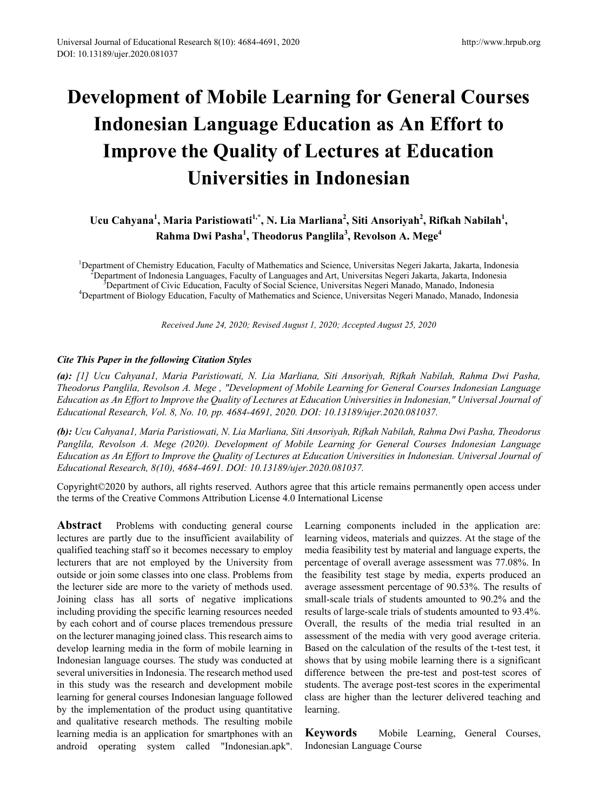# **Development of Mobile Learning for General Courses Indonesian Language Education as An Effort to Improve the Quality of Lectures at Education Universities in Indonesian**

# $U$ cu Cahyana<sup>1</sup>, Maria Paristiowati<sup>1,\*</sup>, N. Lia Marliana<sup>2</sup>, Siti Ansoriyah<sup>2</sup>, Rifkah Nabilah<sup>1</sup>, **Rahma Dwi Pasha<sup>1</sup> , Theodorus Panglila<sup>3</sup> , Revolson A. Mege4**

<sup>1</sup>Department of Chemistry Education, Faculty of Mathematics and Science, Universitas Negeri Jakarta, Jakarta, Indonesia<br><sup>2</sup>Department of Indonesia Languages, Faculty of Languages and Art, Universitas Negeri Jakarta, Indon Department of Indonesia Languages, Faculty of Languages and Art, Universitas Negeri Jakarta, Jakarta, Indonesia <sup>3</sup> <sup>3</sup>Department of Civic Education, Faculty of Social Science, Universitas Negeri Manado, Manado, Indonesia <sup>4</sup>Department of Biology Education, Faculty of Mathematics and Science, Universitas Negeri Manado, Manado, Indonesia

*Received June 24, 2020; Revised August 1, 2020; Accepted August 25, 2020*

### *Cite This Paper in the following Citation Styles*

*(a): [1] Ucu Cahyana1, Maria Paristiowati, N. Lia Marliana, Siti Ansoriyah, Rifkah Nabilah, Rahma Dwi Pasha, Theodorus Panglila, Revolson A. Mege , "Development of Mobile Learning for General Courses Indonesian Language* Education as An Effort to Improve the Quality of Lectures at Education Universities in Indonesian," Universal Journal of *Educational Research, Vol. 8, No. 10, pp. 4684-4691, 2020. DOI: 10.13189/ujer.2020.081037.* 

(b): Ucu Cahyana1, Maria Paristiowati, N. Lia Marliana, Siti Ansoriyah, Rifkah Nabilah, Rahma Dwi Pasha, Theodorus *Panglila, Revolson A. Mege (2020). Development of Mobile Learning for General Courses Indonesian Language* Education as An Effort to Improve the Quality of Lectures at Education Universities in Indonesian. Universal Journal of *Educational Research, 8(10), 4684-4691. DOI: 10.13189/ujer.2020.081037.* 

Copyright©2020 by authors, all rights reserved. Authors agree that this article remains permanently open access under the terms of the Creative Commons Attribution License 4.0 International License

Abstract Problems with conducting general course lectures are partly due to the insufficient availability of qualified teaching staff so it becomes necessary to employ lecturers that are not employed by the University from outside or join some classes into one class. Problems from the lecturer side are more to the variety of methods used. Joining class has all sorts of negative implications including providing the specific learning resources needed by each cohort and of course places tremendous pressure on the lecturer managing joined class. This research aims to develop learning media in the form of mobile learning in Indonesian language courses. The study was conducted at several universities in Indonesia. The research method used in this study was the research and development mobile learning for general courses Indonesian language followed by the implementation of the product using quantitative and qualitative research methods. The resulting mobile learning media is an application for smartphones with an android operating system called "Indonesian.apk".

Learning components included in the application are: learning videos, materials and quizzes. At the stage of the media feasibility test by material and language experts, the percentage of overall average assessment was 77.08%. In the feasibility test stage by media, experts produced an average assessment percentage of 90.53%. The results of small-scale trials of students amounted to 90.2% and the results of large-scale trials of students amounted to 93.4%. Overall, the results of the media trial resulted in an assessment of the media with very good average criteria. Based on the calculation of the results of the t-test test, it shows that by using mobile learning there is a significant difference between the pre-test and post-test scores of students. The average post-test scores in the experimental class are higher than the lecturer delivered teaching and learning.

**Keywords** Mobile Learning, General Courses, Indonesian Language Course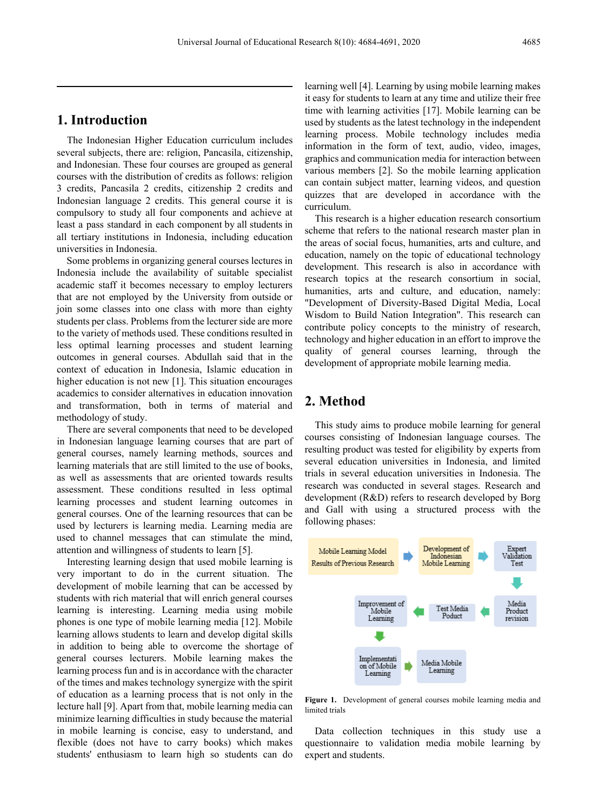## **1. Introduction**

The Indonesian Higher Education curriculum includes several subjects, there are: religion, Pancasila, citizenship, and Indonesian. These four courses are grouped as general courses with the distribution of credits as follows: religion 3 credits, Pancasila 2 credits, citizenship 2 credits and Indonesian language 2 credits. This general course it is compulsory to study all four components and achieve at least a pass standard in each component by all students in all tertiary institutions in Indonesia, including education universities in Indonesia.

Some problems in organizing general courses lectures in Indonesia include the availability of suitable specialist academic staff it becomes necessary to employ lecturers that are not employed by the University from outside or join some classes into one class with more than eighty students per class. Problems from the lecturer side are more to the variety of methods used. These conditions resulted in less optimal learning processes and student learning outcomes in general courses. Abdullah said that in the context of education in Indonesia, Islamic education in higher education is not new [1]. This situation encourages academics to consider alternatives in education innovation and transformation, both in terms of material and methodology of study.

There are several components that need to be developed in Indonesian language learning courses that are part of general courses, namely learning methods, sources and learning materials that are still limited to the use of books, as well as assessments that are oriented towards results assessment. These conditions resulted in less optimal learning processes and student learning outcomes in general courses. One of the learning resources that can be used by lecturers is learning media. Learning media are used to channel messages that can stimulate the mind, attention and willingness of students to learn [5].

Interesting learning design that used mobile learning is very important to do in the current situation. The development of mobile learning that can be accessed by students with rich material that will enrich general courses learning is interesting. Learning media using mobile phones is one type of mobile learning media [12]. Mobile learning allows students to learn and develop digital skills in addition to being able to overcome the shortage of general courses lecturers. Mobile learning makes the learning process fun and is in accordance with the character of the times and makes technology synergize with the spirit of education as a learning process that is not only in the lecture hall [9]. Apart from that, mobile learning media can minimize learning difficulties in study because the material in mobile learning is concise, easy to understand, and flexible (does not have to carry books) which makes students' enthusiasm to learn high so students can do

learning well [4]. Learning by using mobile learning makes it easy for students to learn at any time and utilize their free time with learning activities [17]. Mobile learning can be used by students as the latest technology in the independent learning process. Mobile technology includes media information in the form of text, audio, video, images, graphics and communication media for interaction between various members [2]. So the mobile learning application can contain subject matter, learning videos, and question quizzes that are developed in accordance with the curriculum.

This research is a higher education research consortium scheme that refers to the national research master plan in the areas of social focus, humanities, arts and culture, and education, namely on the topic of educational technology development. This research is also in accordance with research topics at the research consortium in social, humanities, arts and culture, and education, namely: "Development of Diversity-Based Digital Media, Local Wisdom to Build Nation Integration". This research can contribute policy concepts to the ministry of research, technology and higher education in an effort to improve the quality of general courses learning, through the development of appropriate mobile learning media.

### **2. Method**

This study aims to produce mobile learning for general courses consisting of Indonesian language courses. The resulting product was tested for eligibility by experts from several education universities in Indonesia, and limited trials in several education universities in Indonesia. The research was conducted in several stages. Research and development (R&D) refers to research developed by Borg and Gall with using a structured process with the following phases:



**Figure 1.** Development of general courses mobile learning media and limited trials

Data collection techniques in this study use a questionnaire to validation media mobile learning by expert and students.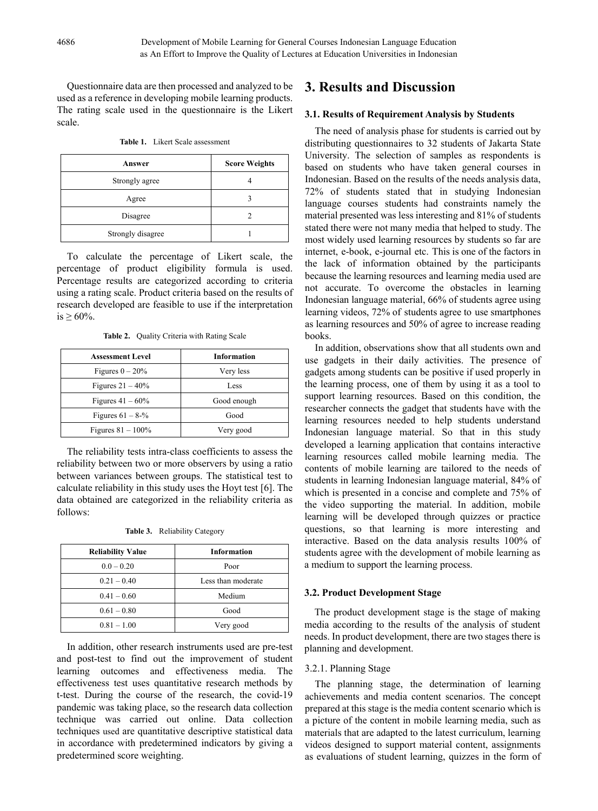Questionnaire data are then processed and analyzed to be used as a reference in developing mobile learning products. The rating scale used in the questionnaire is the Likert scale.

**Table 1.** Likert Scale assessment

| Answer            | <b>Score Weights</b> |
|-------------------|----------------------|
| Strongly agree    |                      |
| Agree             |                      |
| Disagree          |                      |
| Strongly disagree |                      |

To calculate the percentage of Likert scale, the percentage of product eligibility formula is used. Percentage results are categorized according to criteria using a rating scale. Product criteria based on the results of research developed are feasible to use if the interpretation  $is > 60\%$ .

**Table 2.** Quality Criteria with Rating Scale

| <b>Assessment Level</b> | <b>Information</b> |
|-------------------------|--------------------|
| Figures $0 - 20\%$      | Very less          |
| Figures $21 - 40\%$     | Less               |
| Figures $41 - 60\%$     | Good enough        |
| Figures $61 - 8-%$      | Good               |
| Figures $81 - 100\%$    | Very good          |

The reliability tests intra-class coefficients to assess the reliability between two or more observers by using a ratio between variances between groups. The statistical test to calculate reliability in this study uses the Hoyt test [6]. The data obtained are categorized in the reliability criteria as follows:

|  | <b>Table 3.</b> Reliability Category |  |
|--|--------------------------------------|--|
|--|--------------------------------------|--|

| <b>Reliability Value</b> | <b>Information</b> |  |
|--------------------------|--------------------|--|
| $0.0 - 0.20$             | Poor               |  |
| $0.21 - 0.40$            | Less than moderate |  |
| $0.41 - 0.60$            | Medium             |  |
| $0.61 - 0.80$            | Good               |  |
| $0.81 - 1.00$            | Very good          |  |

In addition, other research instruments used are pre-test and post-test to find out the improvement of student learning outcomes and effectiveness media. The effectiveness test uses quantitative research methods by t-test. During the course of the research, the covid-19 pandemic was taking place, so the research data collection technique was carried out online. Data collection techniques used are quantitative descriptive statistical data in accordance with predetermined indicators by giving a predetermined score weighting.

### **3. Results and Discussion**

#### **3.1. Results of Requirement Analysis by Students**

The need of analysis phase for students is carried out by distributing questionnaires to 32 students of Jakarta State University. The selection of samples as respondents is based on students who have taken general courses in Indonesian. Based on the results of the needs analysis data, 72% of students stated that in studying Indonesian language courses students had constraints namely the material presented was less interesting and 81% of students stated there were not many media that helped to study. The most widely used learning resources by students so far are internet, e-book, e-journal etc. This is one of the factors in the lack of information obtained by the participants because the learning resources and learning media used are not accurate. To overcome the obstacles in learning Indonesian language material, 66% of students agree using learning videos, 72% of students agree to use smartphones as learning resources and 50% of agree to increase reading books.

In addition, observations show that all students own and use gadgets in their daily activities. The presence of gadgets among students can be positive if used properly in the learning process, one of them by using it as a tool to support learning resources. Based on this condition, the researcher connects the gadget that students have with the learning resources needed to help students understand Indonesian language material. So that in this study developed a learning application that contains interactive learning resources called mobile learning media. The contents of mobile learning are tailored to the needs of students in learning Indonesian language material, 84% of which is presented in a concise and complete and 75% of the video supporting the material. In addition, mobile learning will be developed through quizzes or practice questions, so that learning is more interesting and interactive. Based on the data analysis results 100% of students agree with the development of mobile learning as a medium to support the learning process.

#### **3.2. Product Development Stage**

The product development stage is the stage of making media according to the results of the analysis of student needs. In product development, there are two stages there is planning and development.

#### 3.2.1. Planning Stage

The planning stage, the determination of learning achievements and media content scenarios. The concept prepared at this stage is the media content scenario which is a picture of the content in mobile learning media, such as materials that are adapted to the latest curriculum, learning videos designed to support material content, assignments as evaluations of student learning, quizzes in the form of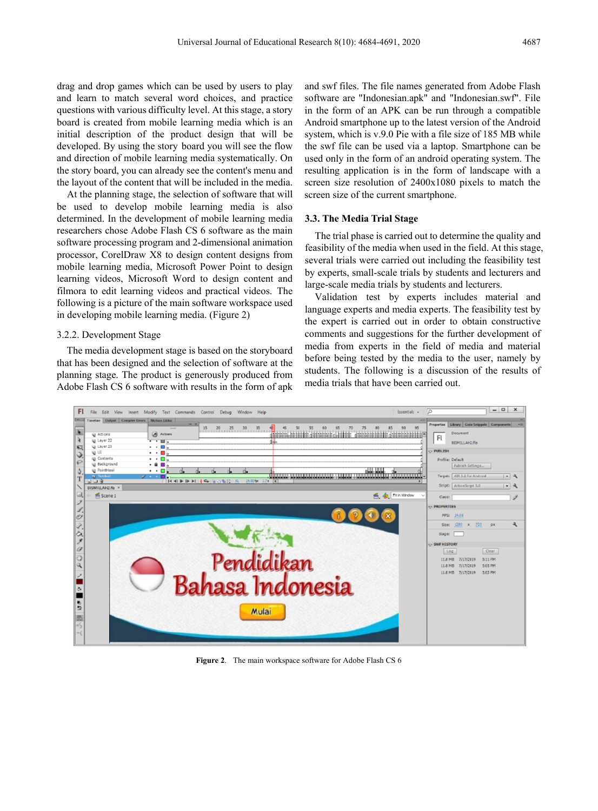drag and drop games which can be used by users to play and learn to match several word choices, and practice questions with various difficulty level. At this stage, a story board is created from mobile learning media which is an initial description of the product design that will be developed. By using the story board you will see the flow and direction of mobile learning media systematically. On the story board, you can already see the content's menu and the layout of the content that will be included in the media.

At the planning stage, the selection of software that will be used to develop mobile learning media is also determined. In the development of mobile learning media researchers chose Adobe Flash CS 6 software as the main software processing program and 2-dimensional animation processor, CorelDraw X8 to design content designs from mobile learning media, Microsoft Power Point to design learning videos, Microsoft Word to design content and filmora to edit learning videos and practical videos. The following is a picture of the main software workspace used in developing mobile learning media. (Figure 2)

#### 3.2.2. Development Stage

The media development stage is based on the storyboard that has been designed and the selection of software at the planning stage. The product is generously produced from Adobe Flash CS 6 software with results in the form of apk and swf files. The file names generated from Adobe Flash software are "Indonesian.apk" and "Indonesian.swf". File in the form of an APK can be run through a compatible Android smartphone up to the latest version of the Android system, which is v.9.0 Pie with a file size of 185 MB while the swf file can be used via a laptop. Smartphone can be used only in the form of an android operating system. The resulting application is in the form of landscape with a screen size resolution of 2400x1080 pixels to match the screen size of the current smartphone.

#### **3.3. The Media Trial Stage**

The trial phase is carried out to determine the quality and feasibility of the media when used in the field. At this stage, several trials were carried out including the feasibility test by experts, small-scale trials by students and lecturers and large-scale media trials by students and lecturers.

Validation test by experts includes material and language experts and media experts. The feasibility test by the expert is carried out in order to obtain constructive comments and suggestions for the further development of media from experts in the field of media and material before being tested by the media to the user, namely by students. The following is a discussion of the results of media trials that have been carried out.



**Figure 2**. The main workspace software for Adobe Flash CS 6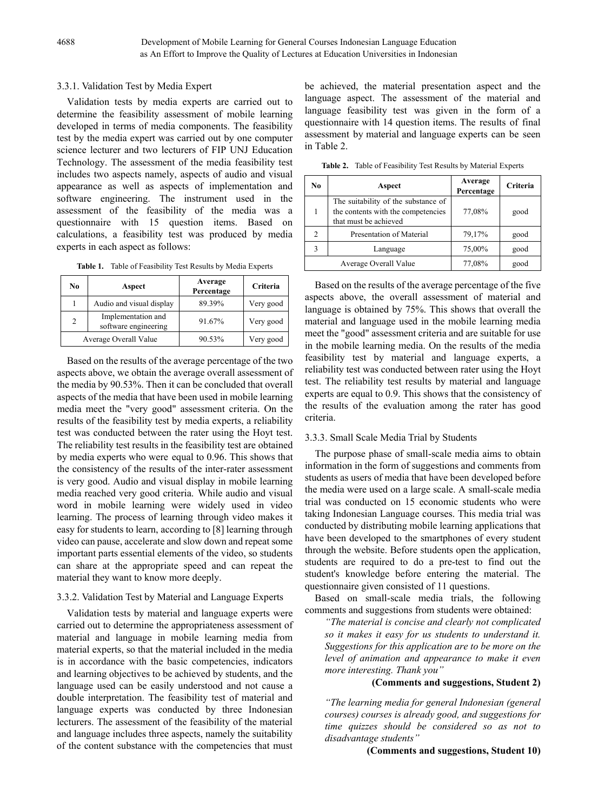## 3.3.1. Validation Test by Media Expert

Validation tests by media experts are carried out to determine the feasibility assessment of mobile learning developed in terms of media components. The feasibility test by the media expert was carried out by one computer science lecturer and two lecturers of FIP UNJ Education Technology. The assessment of the media feasibility test includes two aspects namely, aspects of audio and visual appearance as well as aspects of implementation and software engineering. The instrument used in the assessment of the feasibility of the media was a questionnaire with 15 question items. Based on calculations, a feasibility test was produced by media experts in each aspect as follows:

**Table 1.** Table of Feasibility Test Results by Media Experts

| No                    | Aspect                                     | Average<br>Percentage | Criteria  |
|-----------------------|--------------------------------------------|-----------------------|-----------|
|                       | Audio and visual display                   | 89.39%                | Very good |
| $\overline{c}$        | Implementation and<br>software engineering | 91.67%                | Very good |
| Average Overall Value |                                            | 90.53%                | Very good |

Based on the results of the average percentage of the two aspects above, we obtain the average overall assessment of the media by 90.53%. Then it can be concluded that overall aspects of the media that have been used in mobile learning media meet the "very good" assessment criteria. On the results of the feasibility test by media experts, a reliability test was conducted between the rater using the Hoyt test. The reliability test results in the feasibility test are obtained by media experts who were equal to 0.96. This shows that the consistency of the results of the inter-rater assessment is very good. Audio and visual display in mobile learning media reached very good criteria. While audio and visual word in mobile learning were widely used in video learning. The process of learning through video makes it easy for students to learn, according to [8] learning through video can pause, accelerate and slow down and repeat some important parts essential elements of the video, so students can share at the appropriate speed and can repeat the material they want to know more deeply.

# 3.3.2. Validation Test by Material and Language Experts

Validation tests by material and language experts were carried out to determine the appropriateness assessment of material and language in mobile learning media from material experts, so that the material included in the media is in accordance with the basic competencies, indicators and learning objectives to be achieved by students, and the language used can be easily understood and not cause a double interpretation. The feasibility test of material and language experts was conducted by three Indonesian lecturers. The assessment of the feasibility of the material and language includes three aspects, namely the suitability of the content substance with the competencies that must

be achieved, the material presentation aspect and the language aspect. The assessment of the material and language feasibility test was given in the form of a questionnaire with 14 question items. The results of final assessment by material and language experts can be seen in Table 2.

**Table 2.** Table of Feasibility Test Results by Material Experts

| No.         | Aspect                                                                                             | Average<br>Percentage | Criteria |
|-------------|----------------------------------------------------------------------------------------------------|-----------------------|----------|
|             | The suitability of the substance of<br>the contents with the competencies<br>that must be achieved | 77,08%                | good     |
|             | Presentation of Material                                                                           | 79,17%                | good     |
| $\mathbf 3$ | Language                                                                                           | 75,00%                | good     |
|             | Average Overall Value                                                                              | 77,08%                | good     |

Based on the results of the average percentage of the five aspects above, the overall assessment of material and language is obtained by 75%. This shows that overall the material and language used in the mobile learning media meet the "good" assessment criteria and are suitable for use in the mobile learning media. On the results of the media feasibility test by material and language experts, a reliability test was conducted between rater using the Hoyt test. The reliability test results by material and language experts are equal to 0.9. This shows that the consistency of the results of the evaluation among the rater has good criteria.

### 3.3.3. Small Scale Media Trial by Students

The purpose phase of small-scale media aims to obtain information in the form of suggestions and comments from students as users of media that have been developed before the media were used on a large scale. A small-scale media trial was conducted on 15 economic students who were taking Indonesian Language courses. This media trial was conducted by distributing mobile learning applications that have been developed to the smartphones of every student through the website. Before students open the application, students are required to do a pre-test to find out the student's knowledge before entering the material. The questionnaire given consisted of 11 questions.

Based on small-scale media trials, the following comments and suggestions from students were obtained:

*"The material is concise and clearly not complicated so it makes it easy for us students to understand it. Suggestions for this application are to be more on the level of animation and appearance to make it even more interesting. Thank you"*

# **(Comments and suggestions, Student 2)**

*"The learning media for general Indonesian (general courses) courses is already good, and suggestions for time quizzes should be considered so as not to disadvantage students"*

# **(Comments and suggestions, Student 10)**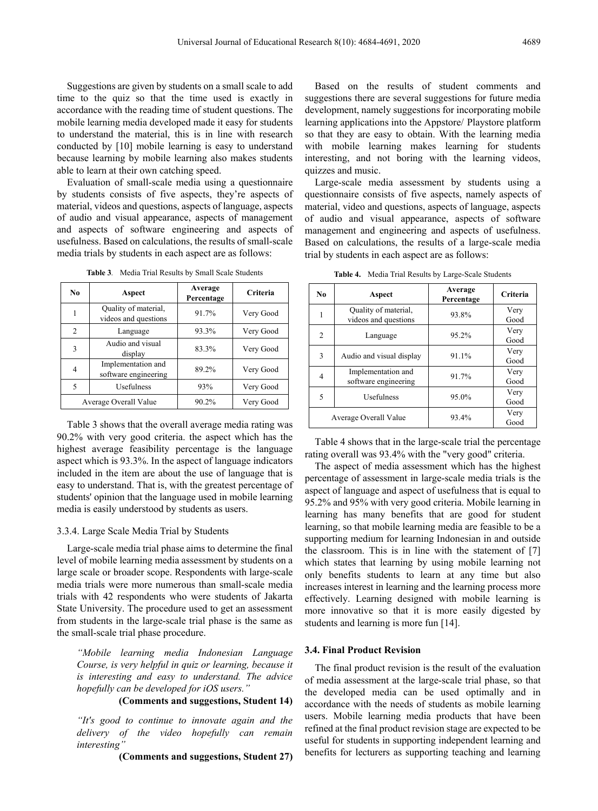Suggestions are given by students on a small scale to add time to the quiz so that the time used is exactly in accordance with the reading time of student questions. The mobile learning media developed made it easy for students to understand the material, this is in line with research conducted by [10] mobile learning is easy to understand because learning by mobile learning also makes students able to learn at their own catching speed.

Evaluation of small-scale media using a questionnaire by students consists of five aspects, they're aspects of material, videos and questions, aspects of language, aspects of audio and visual appearance, aspects of management and aspects of software engineering and aspects of usefulness. Based on calculations, the results of small-scale media trials by students in each aspect are as follows:

| N <sub>0</sub> | Aspect                                       | Average<br>Percentage | Criteria  |  |
|----------------|----------------------------------------------|-----------------------|-----------|--|
|                | Quality of material,<br>videos and questions | 91.7%                 | Very Good |  |
| $\mathfrak{D}$ | Language                                     | 93.3%                 | Very Good |  |
| 3              | Audio and visual<br>display                  | 83.3%                 | Very Good |  |
| 4              | Implementation and<br>software engineering   | 89.2%<br>Very Good    |           |  |
| 5              | Usefulness                                   | 93%                   | Very Good |  |
|                | Average Overall Value                        | 90.2%                 | Very Good |  |

**Table 3***.* Media Trial Results by Small Scale Students

Table 3 shows that the overall average media rating was 90.2% with very good criteria. the aspect which has the highest average feasibility percentage is the language aspect which is 93.3%. In the aspect of language indicators included in the item are about the use of language that is easy to understand. That is, with the greatest percentage of students' opinion that the language used in mobile learning media is easily understood by students as users.

#### 3.3.4. Large Scale Media Trial by Students

Large-scale media trial phase aims to determine the final level of mobile learning media assessment by students on a large scale or broader scope. Respondents with large-scale media trials were more numerous than small-scale media trials with 42 respondents who were students of Jakarta State University. The procedure used to get an assessment from students in the large-scale trial phase is the same as the small-scale trial phase procedure.

*"Mobile learning media Indonesian Language Course, is very helpful in quiz or learning, because it is interesting and easy to understand. The advice hopefully can be developed for iOS users."*

### **(Comments and suggestions, Student 14)**

*"It's good to continue to innovate again and the delivery of the video hopefully can remain interesting"*

**(Comments and suggestions, Student 27)**

Based on the results of student comments and suggestions there are several suggestions for future media development, namely suggestions for incorporating mobile learning applications into the Appstore/ Playstore platform so that they are easy to obtain. With the learning media with mobile learning makes learning for students interesting, and not boring with the learning videos, quizzes and music.

Large-scale media assessment by students using a questionnaire consists of five aspects, namely aspects of material, video and questions, aspects of language, aspects of audio and visual appearance, aspects of software management and engineering and aspects of usefulness. Based on calculations, the results of a large-scale media trial by students in each aspect are as follows:

| No. | Aspect                                       | Average<br>Percentage | Criteria     |  |
|-----|----------------------------------------------|-----------------------|--------------|--|
|     | Quality of material,<br>videos and questions | 93.8%                 | Very<br>Good |  |
| 2   | 95.2%<br>Language                            |                       | Very<br>Good |  |
| 3   | Audio and visual display                     | 91.1%                 | Very<br>Good |  |
| 4   | Implementation and<br>software engineering   | 91.7%                 | Very<br>Good |  |
| 5   | Usefulness                                   | 95.0%                 | Very<br>Good |  |
|     | Average Overall Value                        | 93.4%                 | Very<br>Good |  |

**Table 4.** Media Trial Results by Large-Scale Students

Table 4 shows that in the large-scale trial the percentage rating overall was 93.4% with the "very good" criteria.

The aspect of media assessment which has the highest percentage of assessment in large-scale media trials is the aspect of language and aspect of usefulness that is equal to 95.2% and 95% with very good criteria. Mobile learning in learning has many benefits that are good for student learning, so that mobile learning media are feasible to be a supporting medium for learning Indonesian in and outside the classroom. This is in line with the statement of [7] which states that learning by using mobile learning not only benefits students to learn at any time but also increases interest in learning and the learning process more effectively. Learning designed with mobile learning is more innovative so that it is more easily digested by students and learning is more fun [14].

#### **3.4. Final Product Revision**

The final product revision is the result of the evaluation of media assessment at the large-scale trial phase, so that the developed media can be used optimally and in accordance with the needs of students as mobile learning users. Mobile learning media products that have been refined at the final product revision stage are expected to be useful for students in supporting independent learning and benefits for lecturers as supporting teaching and learning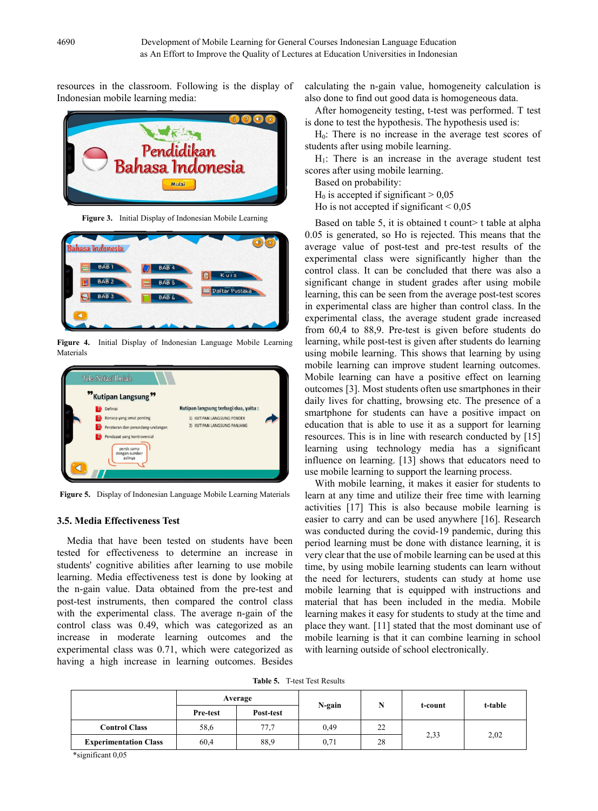resources in the classroom. Following is the display of Indonesian mobile learning media:



**Figure 3.** Initial Display of Indonesian Mobile Learning



**Figure 4.** Initial Display of Indonesian Language Mobile Learning Materials



**Figure 5.** Display of Indonesian Language Mobile Learning Materials

#### **3.5. Media Effectiveness Test**

Media that have been tested on students have been tested for effectiveness to determine an increase in students' cognitive abilities after learning to use mobile learning. Media effectiveness test is done by looking at the n-gain value. Data obtained from the pre-test and post-test instruments, then compared the control class with the experimental class. The average n-gain of the control class was 0.49, which was categorized as an increase in moderate learning outcomes and the experimental class was 0.71, which were categorized as having a high increase in learning outcomes. Besides calculating the n-gain value, homogeneity calculation is also done to find out good data is homogeneous data.

After homogeneity testing, t-test was performed. T test is done to test the hypothesis. The hypothesis used is:

 $H<sub>0</sub>$ : There is no increase in the average test scores of students after using mobile learning.

 $H<sub>1</sub>$ : There is an increase in the average student test scores after using mobile learning.

Based on probability:

 $H_0$  is accepted if significant  $> 0.05$ 

Ho is not accepted if significant  $\leq 0.05$ 

Based on table 5, it is obtained t count  $\gt$  t table at alpha 0.05 is generated, so Ho is rejected. This means that the average value of post-test and pre-test results of the experimental class were significantly higher than the control class. It can be concluded that there was also a significant change in student grades after using mobile learning, this can be seen from the average post-test scores in experimental class are higher than control class. In the experimental class, the average student grade increased from 60,4 to 88,9. Pre-test is given before students do learning, while post-test is given after students do learning using mobile learning. This shows that learning by using mobile learning can improve student learning outcomes. Mobile learning can have a positive effect on learning outcomes [3]. Most students often use smartphones in their daily lives for chatting, browsing etc. The presence of a smartphone for students can have a positive impact on education that is able to use it as a support for learning resources. This is in line with research conducted by [15] learning using technology media has a significant influence on learning. [13] shows that educators need to use mobile learning to support the learning process.

With mobile learning, it makes it easier for students to learn at any time and utilize their free time with learning activities [17] This is also because mobile learning is easier to carry and can be used anywhere [16]. Research was conducted during the covid-19 pandemic, during this period learning must be done with distance learning, it is very clear that the use of mobile learning can be used at this time, by using mobile learning students can learn without the need for lecturers, students can study at home use mobile learning that is equipped with instructions and material that has been included in the media. Mobile learning makes it easy for students to study at the time and place they want. [11] stated that the most dominant use of mobile learning is that it can combine learning in school with learning outside of school electronically.

**Table 5.** T-test Test Results

|                              | Average         |           |        |    |         |         |
|------------------------------|-----------------|-----------|--------|----|---------|---------|
|                              | <b>Pre-test</b> | Post-test | N-gain |    | t-count | t-table |
| <b>Control Class</b>         | 58,6            | 77.7      | 0,49   | 22 |         | 2,02    |
| <b>Experimentation Class</b> | 60,4            | 88.9      | 0.71   | 28 | 2,33    |         |

\*significant 0,05